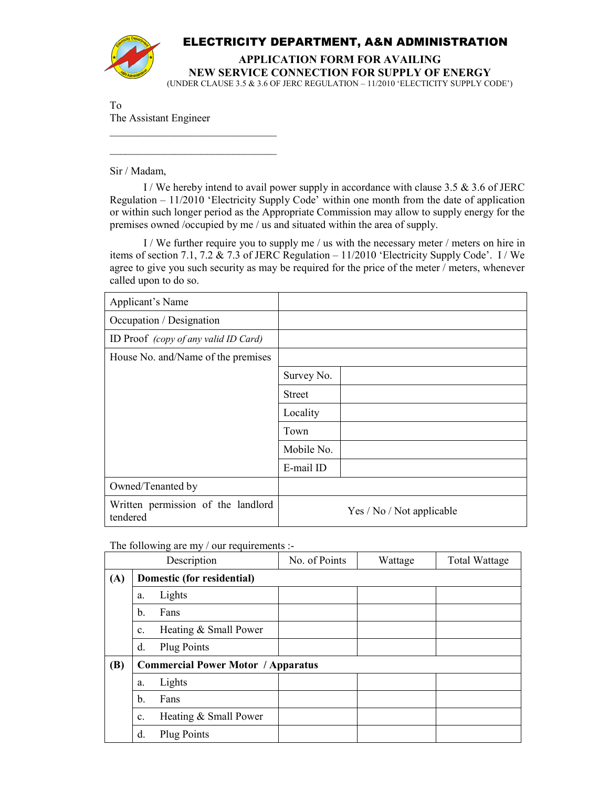

## ELECTRICITY DEPARTMENT, A&N ADMINISTRATION

**APPLICATION FORM FOR AVAILING NEW SERVICE CONNECTION FOR SUPPLY OF ENERGY** 

(UNDER CLAUSE 3.5 & 3.6 OF JERC REGULATION – 11/2010 'ELECTICITY SUPPLY CODE')

To The Assistant Engineer

 $\overline{\phantom{a}}$  , where  $\overline{\phantom{a}}$  , where  $\overline{\phantom{a}}$  , where  $\overline{\phantom{a}}$  $\overline{\phantom{a}}$  , where  $\overline{\phantom{a}}$  , where  $\overline{\phantom{a}}$  , where  $\overline{\phantom{a}}$ 

Sir / Madam,

I / We hereby intend to avail power supply in accordance with clause 3.5  $\&$  3.6 of JERC Regulation – 11/2010 'Electricity Supply Code' within one month from the date of application or within such longer period as the Appropriate Commission may allow to supply energy for the premises owned /occupied by me / us and situated within the area of supply.

 I / We further require you to supply me / us with the necessary meter / meters on hire in items of section 7.1, 7.2  $\&$  7.3 of JERC Regulation – 11/2010 'Electricity Supply Code'. I / We agree to give you such security as may be required for the price of the meter / meters, whenever called upon to do so.

| Applicant's Name                               |                           |  |
|------------------------------------------------|---------------------------|--|
| Occupation / Designation                       |                           |  |
| ID Proof (copy of any valid ID Card)           |                           |  |
| House No. and/Name of the premises             |                           |  |
|                                                | Survey No.                |  |
|                                                | <b>Street</b>             |  |
|                                                | Locality                  |  |
|                                                | Town                      |  |
|                                                | Mobile No.                |  |
|                                                | E-mail ID                 |  |
| Owned/Tenanted by                              |                           |  |
| Written permission of the landlord<br>tendered | Yes / No / Not applicable |  |

The following are my / our requirements :-

|            | Description                               | No. of Points | Wattage | <b>Total Wattage</b> |
|------------|-------------------------------------------|---------------|---------|----------------------|
| (A)        | Domestic (for residential)                |               |         |                      |
|            | Lights<br>a.                              |               |         |                      |
|            | $\mathbf b$ .<br>Fans                     |               |         |                      |
|            | Heating & Small Power<br>$\mathbf{c}$ .   |               |         |                      |
|            | <b>Plug Points</b><br>d.                  |               |         |                      |
| <b>(B)</b> | <b>Commercial Power Motor / Apparatus</b> |               |         |                      |
|            | Lights<br>a.                              |               |         |                      |
|            | b.<br>Fans                                |               |         |                      |
|            | Heating & Small Power<br>c.               |               |         |                      |
|            | d.<br><b>Plug Points</b>                  |               |         |                      |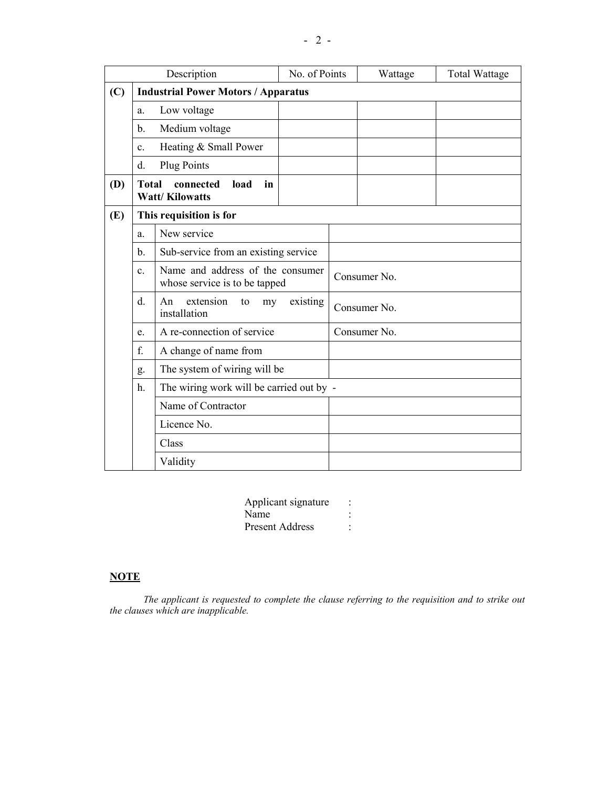|     |                                                                   | Description                                                                                                                  | No. of Points |              | Wattage | <b>Total Wattage</b> |
|-----|-------------------------------------------------------------------|------------------------------------------------------------------------------------------------------------------------------|---------------|--------------|---------|----------------------|
| (C) |                                                                   | <b>Industrial Power Motors / Apparatus</b>                                                                                   |               |              |         |                      |
|     | a.                                                                | Low voltage                                                                                                                  |               |              |         |                      |
|     | b.                                                                | Medium voltage                                                                                                               |               |              |         |                      |
|     | $\mathbf{c}$ .                                                    | Heating & Small Power                                                                                                        |               |              |         |                      |
|     | d.                                                                | <b>Plug Points</b>                                                                                                           |               |              |         |                      |
| (D) | <b>Total</b>                                                      | connected<br>load<br>in<br><b>Watt/Kilowatts</b>                                                                             |               |              |         |                      |
| (E) |                                                                   | This requisition is for                                                                                                      |               |              |         |                      |
|     | a.                                                                | New service                                                                                                                  |               |              |         |                      |
|     | Sub-service from an existing service<br>b.                        |                                                                                                                              |               |              |         |                      |
|     | $\mathbf{c}$ .                                                    | Name and address of the consumer<br>whose service is to be tapped<br>extension<br>An<br>existing<br>to<br>my<br>installation |               | Consumer No. |         |                      |
|     | d.                                                                |                                                                                                                              |               | Consumer No. |         |                      |
|     | A re-connection of service<br>e.                                  |                                                                                                                              | Consumer No.  |              |         |                      |
|     | f.<br>A change of name from<br>The system of wiring will be<br>g. |                                                                                                                              |               |              |         |                      |
|     |                                                                   |                                                                                                                              |               |              |         |                      |
|     | h.                                                                | The wiring work will be carried out by -                                                                                     |               |              |         |                      |
|     |                                                                   | Name of Contractor                                                                                                           |               |              |         |                      |
|     |                                                                   | Licence No.                                                                                                                  |               |              |         |                      |
|     | Class                                                             |                                                                                                                              |               |              |         |                      |
|     |                                                                   | Validity                                                                                                                     |               |              |         |                      |

| Applicant signature    |  |
|------------------------|--|
| Name                   |  |
| <b>Present Address</b> |  |

## **NOTE**

*The applicant is requested to complete the clause referring to the requisition and to strike out the clauses which are inapplicable.*